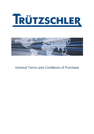



General Terms and Conditions of Purchase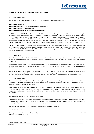# **RÜTZSCHLER**

# **General Terms and Conditions of Purchase**

# **Art. 1 Scope of Appliction**

These General Terms and Conditions of Purchase shall exclusively apply between the companies

# **Trützschler Group SE, or Trützschler Nonwovens & Man-Made Fibers GmbH, Egelsbach, or Trützschler Nonwovens GmbH, Dülmen, or Trützschler Card Clothing GmbH, Neubulach/Oberhaugstett**

as BUYER and the SUPPLIER to all orders of the BUYER and to all contracts of purchase and delivery or services made by the SUPPLIER. SUPPLIER's deviating terms and conditions of sale and delivery shall not be recognized and will not be binding upon the BUYER, unless expressly agreed to in writing by the BUYER. BUYER's T e r m s and Conditions of Purchase shall even apply if the BUYER accepts the SUPPLIER's goods and services without reservation although the BUYER is aware that the SUPPLIER's conditions are contrary to or different from the BUYER's Terms and Conditions of Purchase. BUYER's Terms and Conditions of Purchase shall apply to the BUYER's future purchase orders without any need for another express agreement to that effect.

Any contract amendments, additions and collateral agreements must be in writing. BUYER's Terms and Conditions of Purchase shall apply only to companies as defined in section 310 para. 1 BGB *(German Civil Code)*. Any individual contracts and agreements made between the SUPPLIER and the BUYER shall have precedence. It is agreed that the Terms and Conditions of Purchase shall supplement these contracts and agreements.

# **Art. 2 Placing orders**

Only written orders shall be valid. The SUPPLIER shall confirm the order in writing within a period of 5 working days.<sup>1</sup> Any declaration of acceptance received thereafter shall be deemed to constitute a new offer by the SUPPLIER on the basis of these Terms and Conditions of Purchase.

As a matter of principle, the SUPPLIER shall fulfill his existing obligations by supplying OEM products exclusively. In exceptional cases and with the written consent of the BUYER, The SUPPLIER may subcontract with third parties in order to fulfill his obligations to the BUYER.

To the extent that this is acceptable to the SUPPLIER, the BUYER shall be entitled to demand reasonable modifications of the goods or services to be supplied even after the contract was concluded. Any changes resulting therefrom shall be appropriately taken into account with respect to the date of delivery and any increase or reduction in cost and only valid with the approval of the BUYER.

# **Art. 3 Prices and payment**

The price indicated in the purchase order shall be binding. Unless agreed otherwise in writing, the price shall include delivery duty paid (Incoterms 2010). Unless agreed otherwise in writing, place of destination shall be the address of the BUYER. Price increases shall be valid only if confirmed by the BUYER in writing.

After delivery, invoices shall be submitted to the BUYER separately in duplicate, specifying the order number, purchase order item and commission number. In the case of shipments within the European Union, the respective Intrastat number and the weight must also be indicated. If waste disposal is involved, the SUPPLIER shall enclose the respective waste disposal permit on his own initiative.

The value-added tax shall be shown separately on the invoice.

Unless agreed otherwise in writing, the purchase price shown on the purchase order shall become due 30 days from completion of the delivery/service and receipt of the invoice. If the purchase price is paid within 14 days from completion of the delivery/service and receipt of the invoice, the SUPPLIER shall grant a 3 % discount.

The BUYER shall be entitled to rights of offset and retention to the extent permitted by law.

# **Art. 4 Minimum wage**

The supplier warrants that he at least pays the legal minimum wage to his employees and meets all other commitments from the minimum wage law, without exception.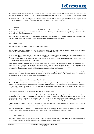

The supplier warrants, if he engages in the course of an order a subcontractor or temporary staff of a lender with the provision of works and services to oblige such subcontractor and or lender to assure that he at least pays the legal minimum wage to his employees on time.

If employees of the supplier or employees of a subcontractor or temporary staff of a lender engaged by the supplier claim payment from Trützschler pursuant to § 13 MiLoG, the supplier shall reimburse all associated costs to Trützschler.

# **Art. 5 Packaging**

The goods shall be packaged in accordance with the HPE (German Federal Association for Wooden Packages, Pallets and Export Packaging) packaging guideline, as amended and valid at the time of placing the order. The amount of packaging material used shall be no more than needed for this purpose.

The SUPPLIER shall make sure that the packaging is in compliance with applicable environmental regulations. The SUPPLIER shall take back freight prepaid any packaging material that is reusable or not environmentally appropriate.

#### **Art. 6 Term of delivery**

The dates of delivery specified on the purchase order shall be binding.

The SUPPLIER is obligated to inform the BUYER promptly in writing if circumstances arise or can be foreseen by the SUPPLIER which makes it impossible for the SUPPLIER to comply with the agreed date of delivery.

In the event of a delay in delivery, the BUYER shall be entitled to the statutory claims. Specifically, after an adequate period of time granted by the BUYER has expired without results, the BUYER shall be entitled to withdraw from the contract or to demand damages instead of the goods or services. Specifically, granting of an additional period will be dispensable if it was obvious that the BUYER was only interested in a timely delivery.

If the delay in delivery is the result of force majeure (such as natural disasters, war, labor disputes, government intervention, etc.), which are beyond the control of the SUPPLIER, the term of delivery shall be extended accordingly. The SUPPLIER shall inform the BUYER promptly orally or in writing of the beginning and the end of such circumstances and at the same time agree with the BUYER on appropriate countermeasures, such as the fastest possible transportation, and carry them out.

The BUYER shall be released in whole or in part from the obligation to accept the ordered goods/services and shall be entitled to withdraw from the contract insofar as, taking into account of the financial interests of the BUYER and due to the delay caused by force majeure, the goods/services can no longer be used by the BUYER .

#### **Art. 7 Performance/ place of performance/ passing of risk/ documents**

The SUPPLIER shall perform the contract in compliance with all the requirements of building, occupational safety and environmental laws as well as all the technical regulations which contain the generally accepted rules of engineering, environmental and safety engineering. If the contract is for supplying machines or plants, this shall include all the goods and services needed for a start-up in accordance with the rules and permits.

Unless agreed otherwise in writing, the delivery shall be duty paid (Incoterms 2010).

Unless agreed otherwise in writing, delivery shall be at the address of the BUYER. Place of performance shall be the address of delivery specified by the BUYER. The risk shall pass only with the delivery of the ordered goods at the delivery address specified by the BUYER. In the event that the BUYER indicates in the purchase order an order number, commission number or item number, the SUPPLIER shall be obligated to enter this number on the entire correspondence and on all shipping documents and delivery notes.

Special documents required by law, such as safety data sheets, in particular for the delivery of hazardous substances, must accompany the delivery in the currently valid version and without any separate request.

The extra processing required by the BUYER because these numbers were entered incorrectly or not at all, or because of erroneous or missing documentation, and the consequences of any delays caused thereby shall be borne by the SUPPLIER.

#### **Art. 8 Security Standards**

The SUPPLIER shall comply with appropriate standards of security with respect to goods, staff and business partner to ensure the safety of the supply chain and will a safety explanation send to the BUYER upon request any time.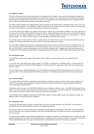

# **Art. 9 Defects of quality**

The SUPPLIER warrants that the goods and services to be supplied are free of defects, comply with the specifications as stipulated in the order, have been developed and manufactured in accordance with the state of the art, are usable with-out limitation for the purpose for which they are intended under the terms of the contract and are in compliance with all relevant legal provisions, regulations and directives imposed by governmental authorities and specialist associations.

Any obvious defects detected in the delivered goods shall be examined by the BUYER within an adequate period of time for any variances in quality and quantity. The notification of a defect shall be timely if the SUPPLIER receives it within a period of 5 working days from delivery of the goods, or in the case of hidden defects, from discovery of the defect.

The BUYER shall be fully entitled to the statutory claims based on defects; the BUYER shall be entitled in any case to demand, at the option of the BUYER, that the SUPPLIER remedy the defect or replace the defective good with a new one. The BUYER expressly reserves the right to damages, including but not limited to the right to damages instead of receiving the goods/services. In case of imminent danger, the BUYER shall be entitled to remedy the defect at the SUPPLIER's expense.

The limitation period of claims based on defects in quality shall be 24 months from the point in time when the delivered goods are complete, free of defects and put into service, and shall end no later than 36 months from delivery.

The SUPPLIER is obliged for the purpose of supplementary performance to bear the relevant expenses, including all costs arising in connection with the defect detention and remedial expenses, even if the expenses are incurred by the BUYER or the customers of the BUYER, in particular investigation cost, removal and installation costs, shipping, travel, labor and material costs. This applies even if the expenses increase because the goods and services are located at a different place than the place of performance.

# **Art. 10 Proprietary rights**

The SUPPLIER warrants that no rights of third parties shall be violated in connection with and by the goods/services he delivered.

In the event that a third party asserts claims against the BUYER for infringement of proprietary rights in connection with the goods/services supplied, the SUPPLIER shall be obligated to indemnify the BUYER against these claims when first requested by the BUYER in writing.

The SUPPLIER's duty to indemnify shall apply to any and all expenses which the BUYER will necessarily incur as a result of or in connection with the claim asserted against the BUYER by a third party. The limitation period shall be 36 months from the passing of risk.

# **Art. 11 Product liability**

To the extent that the SUPPLIER is responsible for personal injury or damage to property caused by a faulty product supplied by the SUPPLIER, the Supplier shall be obligated to indemnify the BUYER to that extent and when first requested against any third party claims for damages resulting therefrom.

Furthermore, within the scope of the SUPPLIER's liability for injury or damage as defined in para. 1, the SUPPLIER shall also be obligated to refund any expenses under sections 683, 670 BGB (German Civil Code) or under sections 830, 840, 426 BGB (German Civil Code), which are incurred in connection with a recall action carried out by the BUYER.

The SUPPLIER shall be obligated to maintain at the SUPPLIER's expense a product liability insurance with adequate coverage. Any additional claims for damages shall remain unaffected.

# **Art. 12 Retention of title**

The BUYER shall retain title to any parts or materials that the BUYER may make available to the SUPPLIER. Any processing or transformation by the SUPPLIER shall be carried out on the behalf of the BUYER.

If the goods to which the BUYER retains title are processed with other objects not belonging to the BUYER, the BUYER shall acquire co-ownership of the new good in proportion of the value of the BUYER's goods to the value of the other processed objects at the time of processing.

If the goods made available by the BUYER for manufacturing of the goods to be delivered is inseparably mixed or connected with other objects not belonging to the BUYER, the BUYER shall acquire co-ownership of the new good in proportion of the value of the good to which the BUYER retains title, to the value of the other mixed or combined objects at the time of the mixing or combining.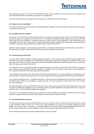

If the processing is done in such a way that the SUPPLIER's good must be considered to be the main good, it is understood that the SUPPLIER shall transfer co-ownership to the BUYER on a prorated basis.

The SUPPLIER shall hold the sole property or the joint property in custody for the BUYER as the trustee.

# **Art. 13 Spare parts and expendables**

The SUPPLIER shall ensure that spare parts and expendables will be available for a period of 10 years from delivery so that the goods can be kept in working order.

#### **Art. 14 Quality assurance/ inspection**

Upon request, the SUPPLIER shall provide evidence that he has introduced a quality assurance system. The SUPPLIER shall make sure that the goods to be supplied by the SUPPLIER are in compliance with BUYER's quality specifications and the SUPPLIER shall provide proof of this compliance. The BUYER shall have the right to inspect by prior appointment, in the SUPPLIER's plant or in the plants of SUPPLIER's subcontractors, the goods and/or the progress in manufacturing. The inspection may be carried out by the BUYER, a third party charged with this task or together with the customer of the BUYER.

Neither the quality assurance nor the inspection by the BUYER or a third party charged with this task shall signify an acceptance in the legal sense and it shall not release the SUPPLIER from his duties of performance and warranty.

# **Art. 15 Manufacturing recodes/ tools**

Any tools, models, matrices, templates, samples, drawings, calculations or other records, which the BUYER makes available to the SUPPLIER for carrying out BUYER's order, embody BUYER's know-how and shall remain the property of the BUYER. They must be used exclusively to carry out BUYER's order and may not be made available to third parties, neither for inspection nor for any other use, without the express prior consent of the BUYER.

This requirement of prior consent shall also apply to supplying third parties with products or parts which the SUPPLIER is manufacturing by making use of the BUYER's know-how. Individuals or companies, which are involved in any manner with the distribution of the s products of the BUYER', shall also be deemed to be third parties.

Tools shall become the property of the BUYER,if the SUPPLIER manufactures them, or has them manufactured, specifically for carrying out BUYER's order and if the manufacturing cost has been amortized via the prices paid by the BUYER for the goods he delivered.

If our contractual relationship ends – for whatever legal ground – before the cost of manufacturing the tools has been amortized in full, the BUYER shall be entitled, but not obligated, to acquire ownership of the tools by paying the amount which at the time of termination is still unamortized.

The SUPPLIER agrees to insure at SUPPLIER's expense the tools, which are the property of the BUYER, against loss by fire, water and theft. The SUPPLIER is obligated to carry out in a timely manner any needed maintenance and inspection work at the expense of the SUPPLIER. The SUPPLIER shall promptly report any failures.

In the event of non-compliance with these duties, the SUPPLIER shall be obligated to compensate the BUYER for any loss resulting therefrom. Any right of retention with respect to the BUYER's tools and records is expressly excluded.

#### **Art. 16 Confidentiality/Non-disclosure**

The SUPPLIER agrees not to disclose BUYER's know-how (see art. 15) and any other commercial and technical information as well as other operational matters of which the SUPPLIER gains knowledge in the course of the business relationship with the BUYER, for as long as these information or operational matters do not become public knowledge independently from the SUP-PLIER's conduct. Subcontractors shall be obligated to enter into a non-disclosure agreement with the same content.

The non-disclosure agreement shall continue to apply beyond the end of the contract.